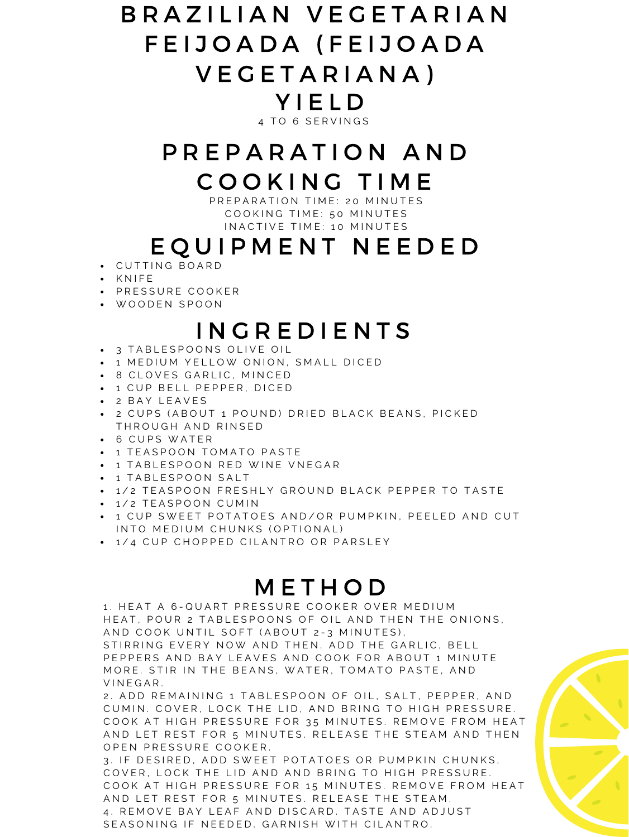#### B R A Z I L I A N V E G E T A R I A N F E I J O A D A ( F E I J O A D A V E G E T A R I A N A ) Y I E L D 4 TO 6 SERVINGS

# P R E P A R A T I O N A N D C O O K I N G T I M E

P R E P A R A T I O N T I M E : 20 M I N U T E S COOKING TIME: 50 MINUTES IN A C T I V E T I M E : 10 M I N U T E S

### I N G R E D I E N T S

- $\bullet$  3 TABLESPOONS OLIVE OIL
- $-$  1 MEDIUM YELLOW ONION, SMALL DICED
- 8 CLOVES GARLIC, MINCED
- $-1$  CUP BELL PEPPER, DICED
- 2 B A Y L E A V E S
- 2 CUPS (ABOUT 1 POUND) DRIED BLACK BEANS, PICKED THROUGH AND RINSED
- 6 CUPS WATER
- $-1$  TEASPOON TOMATO PASTE
- $-$  1 TABLESPOON RED WINE VNEGAR
- $-1$  TABLESPOON SALT
- 1/2 TEASPOON FRESHLY GROUND BLACK PEPPER TO TASTE
- 1/2 TEASPOON CUMIN
- $-$  1 CUP SWEET POTATOES AND/OR PUMPKIN, PEELED AND CUT IN TO MEDIUM CHUNKS (OPTIONAL)
- $-1/4$  CUP CHOPPED CILANTRO OR PARSLEY

#### **METHOD**

1. HEAT A 6-QUART PRESSURE COOKER OVER MEDIUM HEAT, POUR 2 TABLESPOONS OF OIL AND THEN THE ONIONS, A N D COOK UNTIL SOFT (A BOUT 2-3 MINUTES), STIRRING EVERY NOW AND THEN. ADD THE GARLIC, BELL PEPPERS AND BAY LEAVES AND COOK FOR ABOUT 1 MINUTE MORE. STIR IN THE BEANS, WATER, TOMATO PASTE, AND VINEGAR.

2. A D D R E M A I N I N G 1 T A B L E S P O O N O F O I L, S A L T, P E P P E R, A N D CUMIN. COVER, LOCK THE LID, AND BRING TO HIGH PRESSURE. COOK AT HIGH PRESSURE FOR 35 MINUTES. REMOVE FROM HEAT AND LET REST FOR 5 MINUTES. RELEASE THE STEAM AND THEN O P E N P R E S S U R E C O O K E R .

3. IF DESIRED, ADD SWEET POTATOES OR PUMPKIN CHUNKS, COVER, LOCK THE LID AND AND BRING TO HIGH PRESSURE. COOK AT HIGH PRESSURE FOR 15 MINUTES. REMOVE FROM HEAT AND LET REST FOR 5 MINUTES. RELEASE THE STEAM. 4. REMOVE BAY LEAF AND DISCARD. TASTE AND ADJUST SEASONING IF NEEDED. GARNISH WITH CILANTRO.



## E Q U I P M E N T N E E D E D

- C U T T I N G B O A R D
- · KNIFE
- · PRESSURE COOKER
- W O O D E N S P O O N